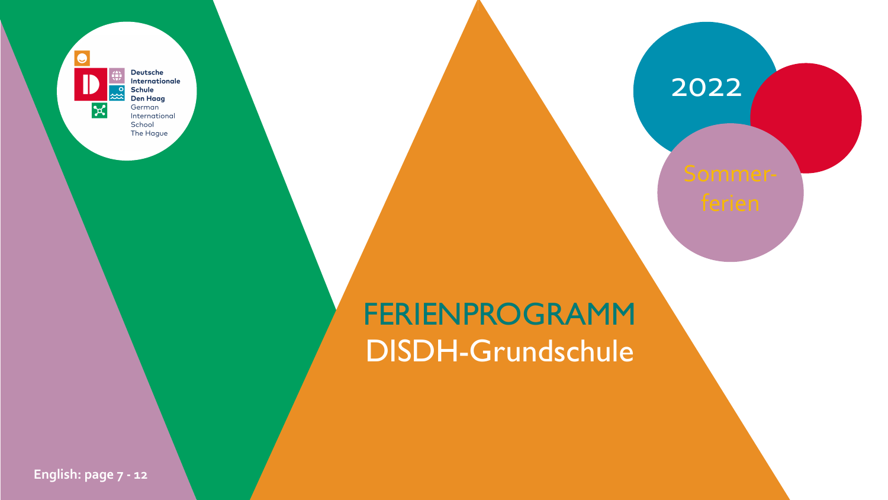$\bullet$  $\propto$ 

Deutsche Internationale **Schule Den Haag** German International School The Hague



## 2022

# FERIENPROGRAMM DISDH-Grundschule



**English: page 7 - 12**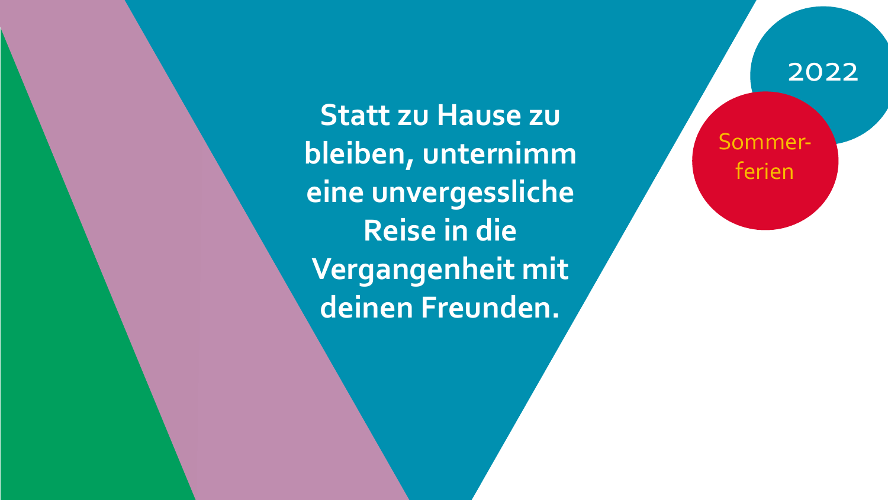**Statt zu Hause zu bleiben, unternimm eine unvergessliche Reise in die Vergangenheit mit deinen Freunden.**

mmerferien

### 2022

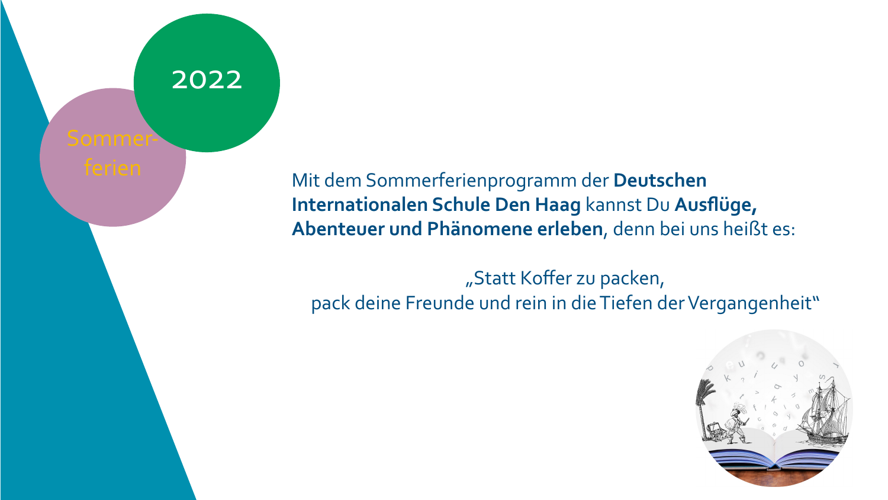# Sommer-

### Mit dem Sommerferienprogramm der **Deutschen Internationalen Schule Den Haag** kannst Du **Ausflüge, Abenteuer und Phänomene erleben**, denn bei uns heißt es:

"Statt Koffer Prise Literature of the Literature of the Literature of the Literature of the Lite<br>Prise Literature of the Literature of the Literature of the Literature of the Literature of the Lite<br>Prince Literature of the Literature of "Statt Koffer zu packen, pack deine Freunde und rein in die Tiefen der Vergangenheit"



### 2022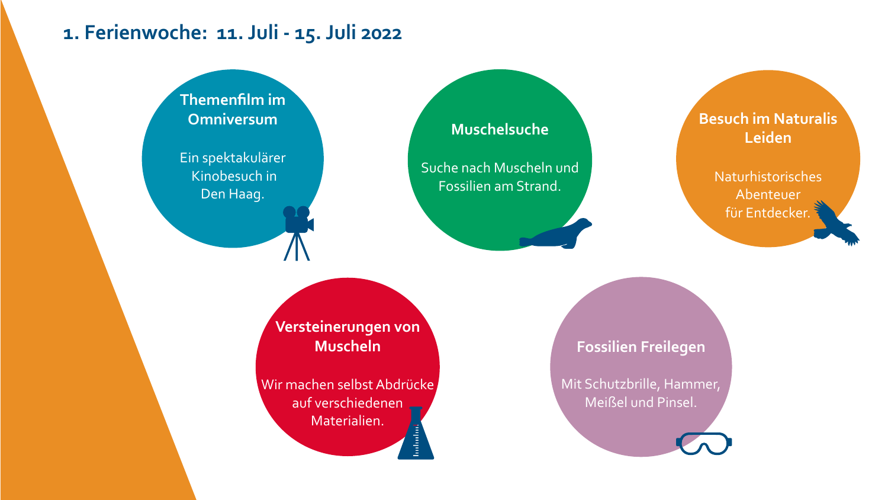### **Besuch im Naturalis Leiden**

Naturhistorisches Abenteuer für Entdecker.

Wir machen selbst Abdrücke auf verschiedenen Materialien. **Included** 

### **Versteinerungen von Muscheln**

### **Muschelsuche**

Suche nach Muscheln und Fossilien am Strand.

### **1. Ferienwoche: 11. Juli - 15. Juli 2022**

### **Fossilien Freilegen**

Mit Schutzbrille, Hammer, Meißel und Pinsel.





**Themenfilm im Omniversum**

Ein spektakulärer Kinobesuch in Den Haag.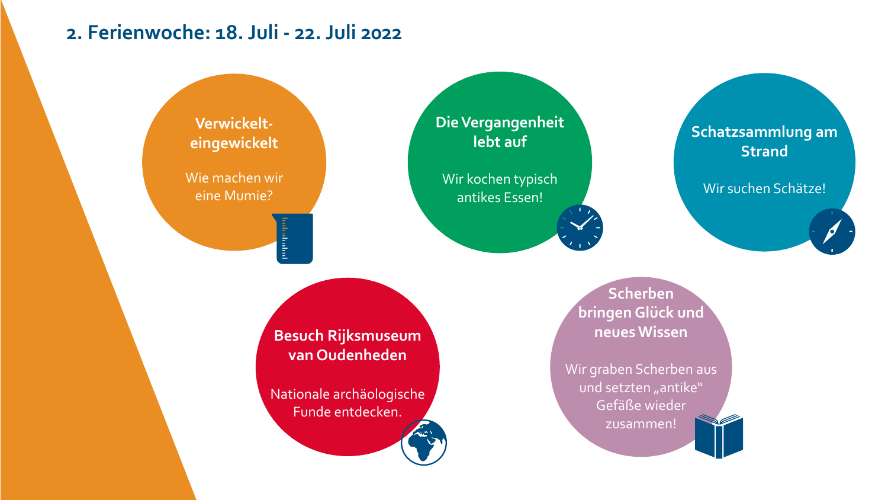**Verwickelteingewickelt**

Wie machen wir eine Mumie?

inhabatari

**Besuch Rijksmuseum van Oudenheden**

Nationale archäologische Funde entdecken.

Wir graben Scherben aus und setzten "antike" Gefäße wieder zusammen!



### **Die Vergangenheit lebt auf**

Wir kochen typisch antikes Essen!

### **2. Ferienwoche: 18. Juli - 22. Juli 2022**

**Scherben bringen Glück und neues Wissen**

### **Schatzsammlung am Strand**

Wir suchen Schätze!

 $\rightarrow$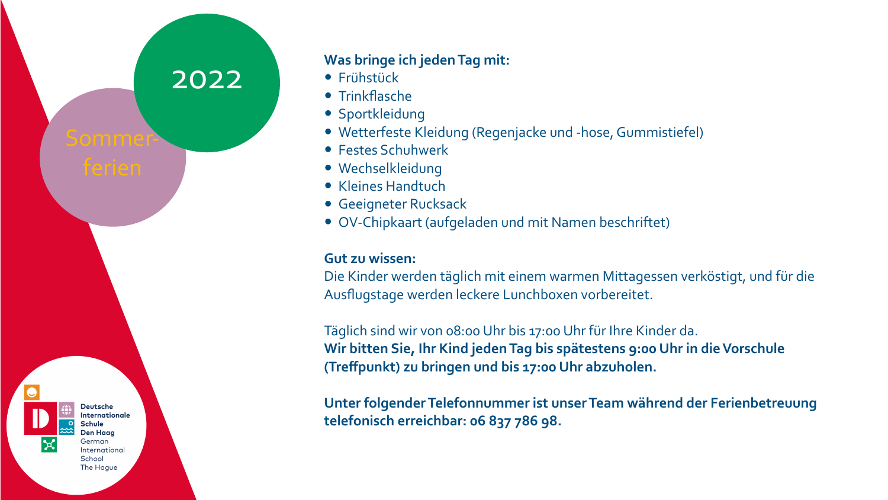### **Was bringe ich jeden Tag mit:**

- Frühstück
- Trinkflasche
- Sportkleidung
- 
- Festes Schuhwerk
- Wechselkleidung
- Kleines Handtuch
- Geeigneter Rucksack
- 

• Wetterfeste Kleidung (Regenjacke und -hose, Gummistiefel) • OV-Chipkaart (aufgeladen und mit Namen beschriftet)

wissem.<br>der werden täglich mit einem warr<br>stage werden leckere Lunchboxen **Gut zu wissen:** Die Kinder werden täglich mit einem warmen Mittagessen verköstigt, und für die Ausflugstage werden leckere Lunchboxen vorbereitet.

**IN DEN**  Täglich sind wir von 08:00 Uhr bis 17:00 Uhr für Ihre Kinder da. Wir bitten Sie, Ihr Kind jeden Tag bis spätestens 9:00<br>(Treffpunkt) zu bringen und bis 17:00 Uhr abzuholen. **Wir bitten Sie, Ihr Kind jeden Tag bis spätestens 9:00 Uhr in die Vorschule** 



**Unter folgender Telefonnummer ist unser Team während der Ferienbetreuung telefonisch erreichbar: 06 837 786 98.**

**Deutsche Internationale Schule O Den Haag** German International School The Hague

 $|\mathbf{x}|$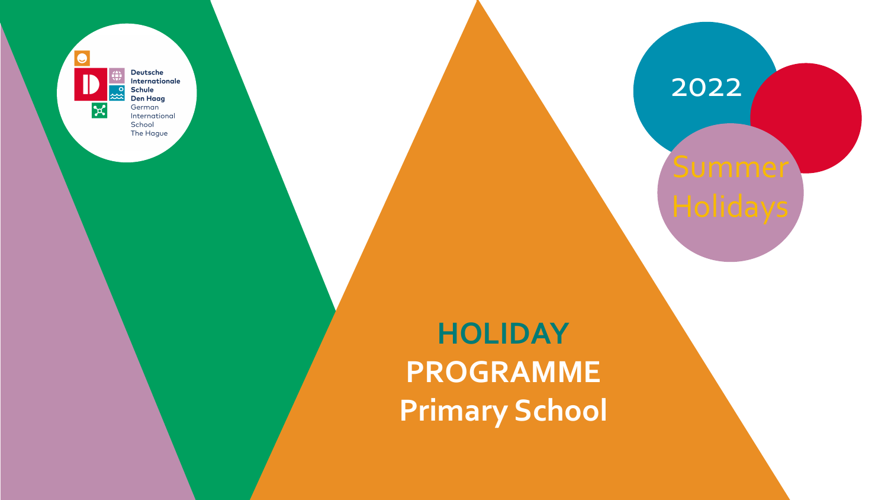

Deutsche Internationale Schule **Den Haag** German International School The Hague



## 2022

# **HOLIDAY PROGRAMME Primary School**

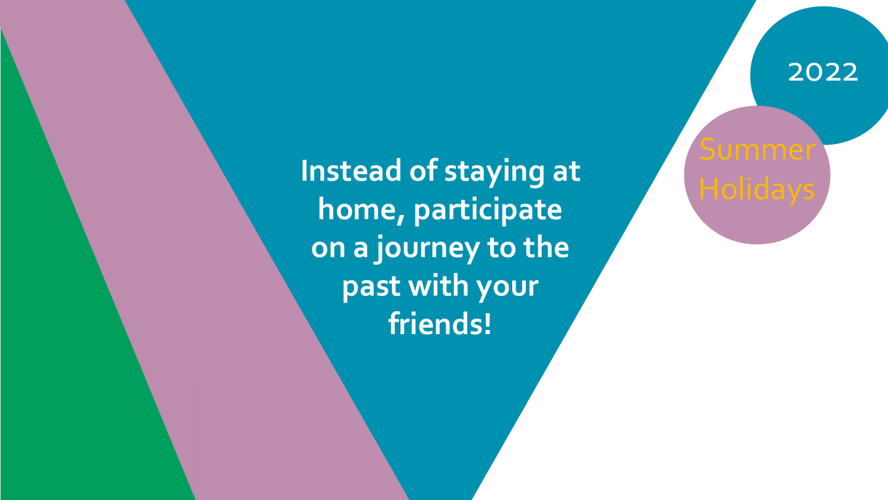2022



**Instead of staying at home, participate on a journey to the past with your friends!**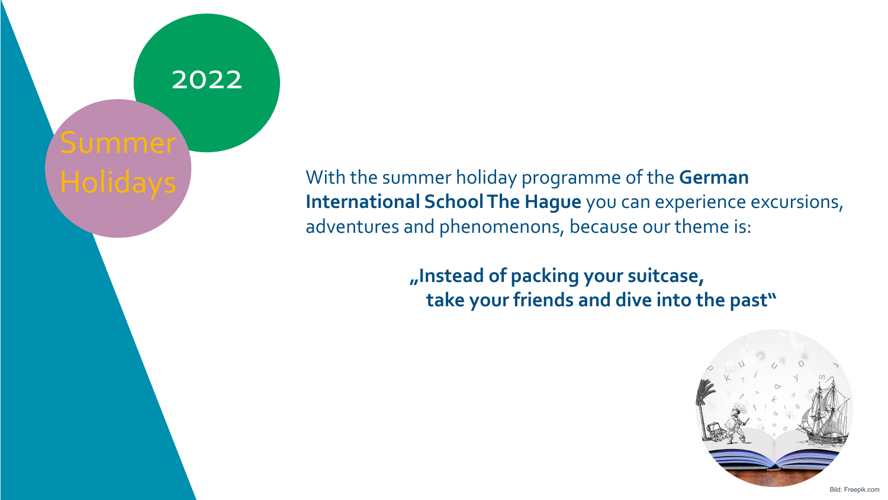### With the summer holiday programme of the **German International School The Hague** you can experience excursions, adventures and phenomenons, because our theme is:

### **LANGE STRAINS IN PROPERTY** *<u>m* Instead of packing your suitcase,</u>  **take your friends and dive into the past"**

### 2022

# Summer

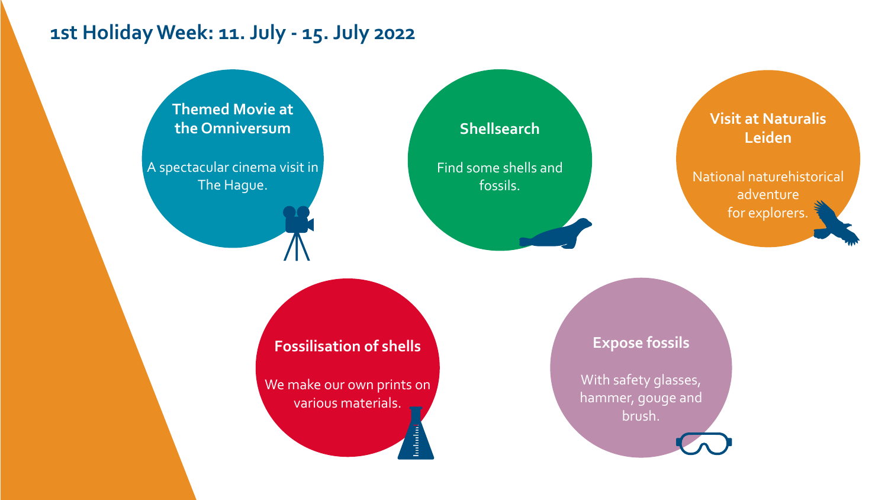### **Visit at Naturalis Leiden**

National naturehistorical adventure for explorers.

We make our own prints on various materials.



### **Fossilisation of shells**

With safety glasses, hammer, gouge and brush.



### **Shellsearch**

Find some shells and fossils.

### **1st Holiday Week: 11. July - 15. July 2022**

### **Expose fossils**

**Themed Movie at the Omniversum**

A spectacular cinema visit in The Hague.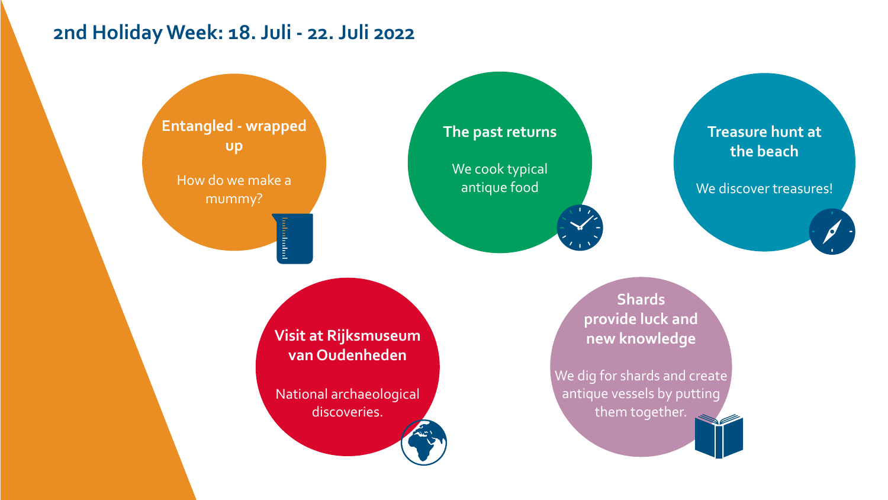**Entangled - wrapped up**

How do we make a mummy?

**<u>Containing</u>** 

**Visit at Rijksmuseum van Oudenheden**

We cook typical antique food

National archaeological discoveries.

### **The past returns**

### **2nd Holiday Week: 18. Juli - 22. Juli 2022**

**Shards provide luck and new knowledge**

We dig for shards and create antique vessels by putting them together.





### **Treasure hunt at the beach**

We discover treasures!